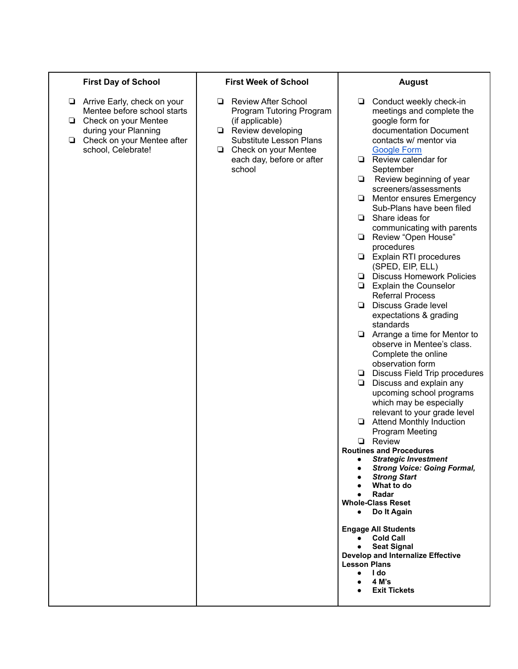## **First Day of School**

- ❏ Arrive Early, check on your Mentee before school starts
- ❏ Check on your Mentee during your Planning
- ❏ Check on your Mentee after school, Celebrate!

## **First Week of School**

- ❏ Review After School Program Tutoring Program (if applicable)
- ❏ Review developing Substitute Lesson Plans
- ❏ Check on your Mentee each day, before or after school

## **August**

- ❏ Conduct weekly check-in meetings and complete the google form for documentation Document contacts w/ mentor via [Google](https://forms.gle/2xdJUvpzGxgvoysR7) Form
- ❏ Review calendar for **September**
- ❏ Review beginning of year screeners/assessments
- ❏ Mentor ensures Emergency Sub-Plans have been filed
- ❏ Share ideas for communicating with parents
- ❏ Review "Open House" procedures
- ❏ Explain RTI procedures (SPED, EIP, ELL)
- ❏ Discuss Homework Policies
- ❏ Explain the Counselor Referral Process
- ❏ Discuss Grade level expectations & grading standards
- ❏ Arrange a time for Mentor to observe in Mentee's class. Complete the online observation form
- ❏ Discuss Field Trip procedures
- ❏ Discuss and explain any upcoming school programs which may be especially relevant to your grade level
- ❏ Attend Monthly Induction Program Meeting
- ❏ Review
- **Routines and Procedures**
	- *● Strategic Investment*
		- *● Strong Voice: Going Formal,*
		- *● Strong Start*
		- **● What to do**
		- **● Radar**
- **Whole-Class Reset**
	- *●* **Do It Again**
- **Engage All Students**
	- **● Cold Call**
	- **● Seat Signal**

**Develop and Internalize Effective Lesson Plans**

- **● I do**
- **● 4 M's**
- **● Exit Tickets**
- 
-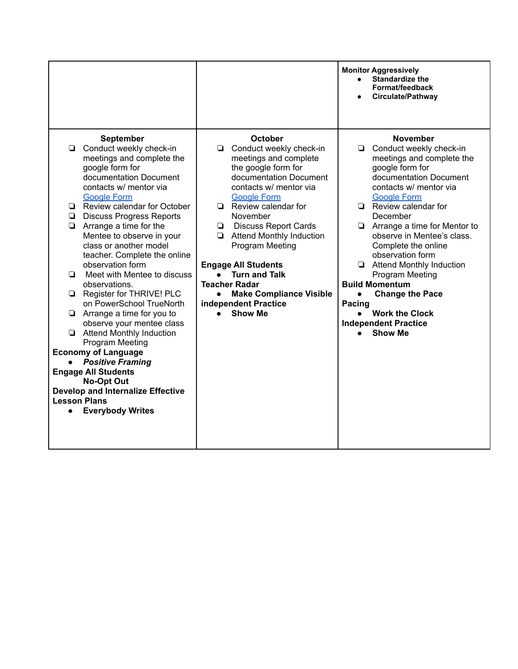|                                                                                                                                                                                                                                                                                                                                                                                                                                                                                                                                                                                                                                                                                                                                                                                                                                         |                                                                                                                                                                                                                                                                                                                                                                                                                                                                                               | <b>Monitor Aggressively</b><br><b>Standardize the</b><br>Format/feedback<br>Circulate/Pathway                                                                                                                                                                                                                                                                                                                                                                                                                                                 |
|-----------------------------------------------------------------------------------------------------------------------------------------------------------------------------------------------------------------------------------------------------------------------------------------------------------------------------------------------------------------------------------------------------------------------------------------------------------------------------------------------------------------------------------------------------------------------------------------------------------------------------------------------------------------------------------------------------------------------------------------------------------------------------------------------------------------------------------------|-----------------------------------------------------------------------------------------------------------------------------------------------------------------------------------------------------------------------------------------------------------------------------------------------------------------------------------------------------------------------------------------------------------------------------------------------------------------------------------------------|-----------------------------------------------------------------------------------------------------------------------------------------------------------------------------------------------------------------------------------------------------------------------------------------------------------------------------------------------------------------------------------------------------------------------------------------------------------------------------------------------------------------------------------------------|
| <b>September</b><br>Conduct weekly check-in<br>❏<br>meetings and complete the<br>google form for<br>documentation Document<br>contacts w/ mentor via<br><b>Google Form</b><br>Review calendar for October<br>$\Box$<br><b>Discuss Progress Reports</b><br>Arrange a time for the<br>Mentee to observe in your<br>class or another model<br>teacher. Complete the online<br>observation form<br>Meet with Mentee to discuss<br>▫<br>observations.<br>Register for THRIVE! PLC<br>on PowerSchool TrueNorth<br>Arrange a time for you to<br>❏<br>observe your mentee class<br>Attend Monthly Induction<br><b>Program Meeting</b><br><b>Economy of Language</b><br><b>Positive Framing</b><br><b>Engage All Students</b><br><b>No-Opt Out</b><br><b>Develop and Internalize Effective</b><br><b>Lesson Plans</b><br><b>Everybody Writes</b> | October<br>Conduct weekly check-in<br>❏<br>meetings and complete<br>the google form for<br>documentation Document<br>contacts w/ mentor via<br><b>Google Form</b><br>$\Box$ Review calendar for<br>November<br><b>Discuss Report Cards</b><br>$\Box$<br><b>Attend Monthly Induction</b><br>❏<br><b>Program Meeting</b><br><b>Engage All Students</b><br><b>Turn and Talk</b><br><b>Teacher Radar</b><br><b>Make Compliance Visible</b><br>$\bullet$<br>independent Practice<br><b>Show Me</b> | <b>November</b><br>Conduct weekly check-in<br>❏<br>meetings and complete the<br>google form for<br>documentation Document<br>contacts w/ mentor via<br><b>Google Form</b><br>$\Box$ Review calendar for<br>December<br>$\Box$ Arrange a time for Mentor to<br>observe in Mentee's class.<br>Complete the online<br>observation form<br>$\Box$ Attend Monthly Induction<br>Program Meeting<br><b>Build Momentum</b><br><b>Change the Pace</b><br>$\bullet$<br>Pacing<br><b>Work the Clock</b><br><b>Independent Practice</b><br><b>Show Me</b> |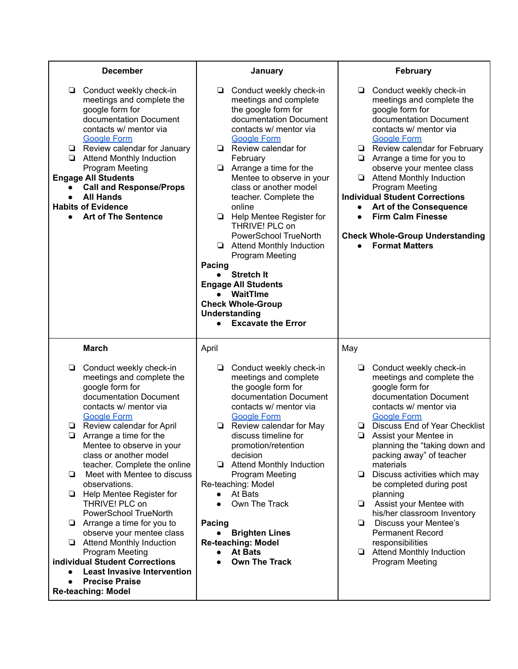| <b>December</b>                                                                                                                                                                                                                                                                                                                                                                                                                                                                                                                                                         | January                                                                                                                                                                                                                                                                                                                                                                                                                                                                                                                                                                                                                         | February                                                                                                                                                                                                                                                                                                                                                                                                                                                                                                                                       |
|-------------------------------------------------------------------------------------------------------------------------------------------------------------------------------------------------------------------------------------------------------------------------------------------------------------------------------------------------------------------------------------------------------------------------------------------------------------------------------------------------------------------------------------------------------------------------|---------------------------------------------------------------------------------------------------------------------------------------------------------------------------------------------------------------------------------------------------------------------------------------------------------------------------------------------------------------------------------------------------------------------------------------------------------------------------------------------------------------------------------------------------------------------------------------------------------------------------------|------------------------------------------------------------------------------------------------------------------------------------------------------------------------------------------------------------------------------------------------------------------------------------------------------------------------------------------------------------------------------------------------------------------------------------------------------------------------------------------------------------------------------------------------|
| Conduct weekly check-in<br>❏<br>meetings and complete the<br>google form for<br>documentation Document<br>contacts w/ mentor via<br><b>Google Form</b><br>Review calendar for January<br>❏<br><b>Attend Monthly Induction</b><br>❏<br>Program Meeting<br><b>Engage All Students</b><br><b>Call and Response/Props</b><br><b>All Hands</b><br><b>Habits of Evidence</b><br><b>Art of The Sentence</b><br>$\bullet$                                                                                                                                                       | Conduct weekly check-in<br>❏<br>meetings and complete<br>the google form for<br>documentation Document<br>contacts w/ mentor via<br><b>Google Form</b><br>$\Box$ Review calendar for<br>February<br>Arrange a time for the<br>❏<br>Mentee to observe in your<br>class or another model<br>teacher. Complete the<br>online<br><b>E</b> Help Mentee Register for<br>THRIVE! PLC on<br>PowerSchool TrueNorth<br>Attend Monthly Induction<br>Program Meeting<br>Pacing<br><b>Stretch It</b><br><b>Engage All Students</b><br>WaitTIme<br><b>Check Whole-Group</b><br><b>Understanding</b><br><b>Excavate the Error</b><br>$\bullet$ | Conduct weekly check-in<br>❏<br>meetings and complete the<br>google form for<br>documentation Document<br>contacts w/ mentor via<br><b>Google Form</b><br>$\Box$ Review calendar for February<br>$\Box$ Arrange a time for you to<br>observe your mentee class<br><b>Attend Monthly Induction</b><br>$\Box$<br><b>Program Meeting</b><br><b>Individual Student Corrections</b><br>Art of the Consequence<br>$\bullet$<br><b>Firm Calm Finesse</b><br>$\bullet$<br><b>Check Whole-Group Understanding</b><br><b>Format Matters</b><br>$\bullet$ |
| <b>March</b>                                                                                                                                                                                                                                                                                                                                                                                                                                                                                                                                                            | April                                                                                                                                                                                                                                                                                                                                                                                                                                                                                                                                                                                                                           | May                                                                                                                                                                                                                                                                                                                                                                                                                                                                                                                                            |
| Conduct weekly check-in<br>❏<br>meetings and complete the<br>google form for<br>documentation Document<br>contacts w/ mentor via<br><b>Google Form</b>                                                                                                                                                                                                                                                                                                                                                                                                                  | Conduct weekly check-in<br>❏<br>meetings and complete<br>the google form for<br>documentation Document<br>contacts w/ mentor via<br><b>Google Form</b>                                                                                                                                                                                                                                                                                                                                                                                                                                                                          | Conduct weekly check-in<br>❏<br>meetings and complete the<br>google form for<br>documentation Document<br>contacts w/ mentor via<br><b>Google Form</b>                                                                                                                                                                                                                                                                                                                                                                                         |
| Review calendar for April<br>❏<br>$\Box$<br>Arrange a time for the<br>Mentee to observe in your<br>class or another model<br>teacher. Complete the online<br>Meet with Mentee to discuss<br>❏<br>observations.<br>Help Mentee Register for<br>❏<br>THRIVE! PLC on<br>PowerSchool TrueNorth<br>Arrange a time for you to<br>⊔<br>observe your mentee class<br>Attend Monthly Induction<br><b>Program Meeting</b><br>individual Student Corrections<br><b>Least Invasive Intervention</b><br>$\bullet$<br><b>Precise Praise</b><br>$\bullet$<br><b>Re-teaching: Model</b> | Review calendar for May<br>discuss timeline for<br>promotion/retention<br>decision<br>Attend Monthly Induction<br><b>Program Meeting</b><br>Re-teaching: Model<br>At Bats<br>$\bullet$<br>Own The Track<br>$\bullet$<br>Pacing<br><b>Brighten Lines</b><br><b>Re-teaching: Model</b><br><b>At Bats</b><br><b>Own The Track</b>                                                                                                                                                                                                                                                                                                  | <b>Discuss End of Year Checklist</b><br>❏<br>$\Box$<br>Assist your Mentee in<br>planning the "taking down and<br>packing away" of teacher<br>materials<br>Discuss activities which may<br>❏<br>be completed during post<br>planning<br>Assist your Mentee with<br>❏<br>his/her classroom Inventory<br>Discuss your Mentee's<br>❏<br><b>Permanent Record</b><br>responsibilities<br><b>E</b> Attend Monthly Induction<br>Program Meeting                                                                                                        |